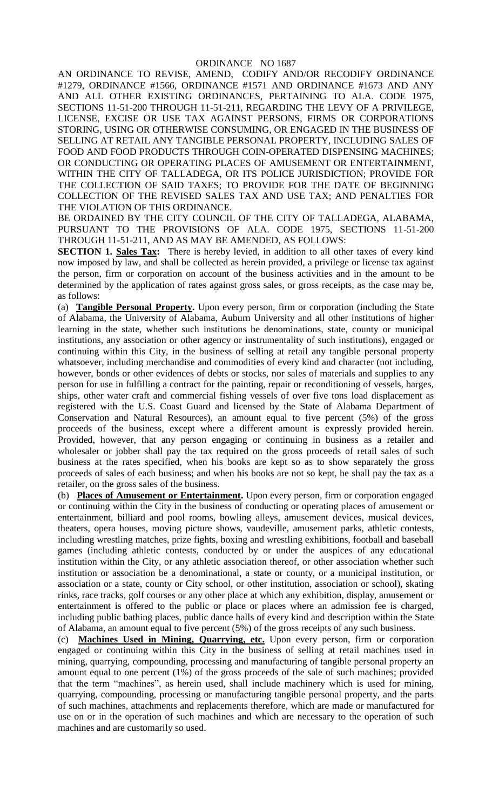AN ORDINANCE TO REVISE, AMEND, CODIFY AND/OR RECODIFY ORDINANCE #1279, ORDINANCE #1566, ORDINANCE #1571 AND ORDINANCE #1673 AND ANY AND ALL OTHER EXISTING ORDINANCES, PERTAINING TO ALA. CODE 1975, SECTIONS 11-51-200 THROUGH 11-51-211, REGARDING THE LEVY OF A PRIVILEGE, LICENSE, EXCISE OR USE TAX AGAINST PERSONS, FIRMS OR CORPORATIONS STORING, USING OR OTHERWISE CONSUMING, OR ENGAGED IN THE BUSINESS OF SELLING AT RETAIL ANY TANGIBLE PERSONAL PROPERTY, INCLUDING SALES OF FOOD AND FOOD PRODUCTS THROUGH COIN-OPERATED DISPENSING MACHINES; OR CONDUCTING OR OPERATING PLACES OF AMUSEMENT OR ENTERTAINMENT, WITHIN THE CITY OF TALLADEGA, OR ITS POLICE JURISDICTION; PROVIDE FOR THE COLLECTION OF SAID TAXES; TO PROVIDE FOR THE DATE OF BEGINNING COLLECTION OF THE REVISED SALES TAX AND USE TAX; AND PENALTIES FOR THE VIOLATION OF THIS ORDINANCE.

BE ORDAINED BY THE CITY COUNCIL OF THE CITY OF TALLADEGA, ALABAMA, PURSUANT TO THE PROVISIONS OF ALA. CODE 1975, SECTIONS 11-51-200 THROUGH 11-51-211, AND AS MAY BE AMENDED, AS FOLLOWS:

**SECTION 1. Sales Tax:** There is hereby levied, in addition to all other taxes of every kind now imposed by law, and shall be collected as herein provided, a privilege or license tax against the person, firm or corporation on account of the business activities and in the amount to be determined by the application of rates against gross sales, or gross receipts, as the case may be, as follows:

(a) **Tangible Personal Property.** Upon every person, firm or corporation (including the State of Alabama, the University of Alabama, Auburn University and all other institutions of higher learning in the state, whether such institutions be denominations, state, county or municipal institutions, any association or other agency or instrumentality of such institutions), engaged or continuing within this City, in the business of selling at retail any tangible personal property whatsoever, including merchandise and commodities of every kind and character (not including, however, bonds or other evidences of debts or stocks, nor sales of materials and supplies to any person for use in fulfilling a contract for the painting, repair or reconditioning of vessels, barges, ships, other water craft and commercial fishing vessels of over five tons load displacement as registered with the U.S. Coast Guard and licensed by the State of Alabama Department of Conservation and Natural Resources), an amount equal to five percent (5%) of the gross proceeds of the business, except where a different amount is expressly provided herein. Provided, however, that any person engaging or continuing in business as a retailer and wholesaler or jobber shall pay the tax required on the gross proceeds of retail sales of such business at the rates specified, when his books are kept so as to show separately the gross proceeds of sales of each business; and when his books are not so kept, he shall pay the tax as a retailer, on the gross sales of the business.

(b) **Places of Amusement or Entertainment.** Upon every person, firm or corporation engaged or continuing within the City in the business of conducting or operating places of amusement or entertainment, billiard and pool rooms, bowling alleys, amusement devices, musical devices, theaters, opera houses, moving picture shows, vaudeville, amusement parks, athletic contests, including wrestling matches, prize fights, boxing and wrestling exhibitions, football and baseball games (including athletic contests, conducted by or under the auspices of any educational institution within the City, or any athletic association thereof, or other association whether such institution or association be a denominational, a state or county, or a municipal institution, or association or a state, county or City school, or other institution, association or school), skating rinks, race tracks, golf courses or any other place at which any exhibition, display, amusement or entertainment is offered to the public or place or places where an admission fee is charged, including public bathing places, public dance halls of every kind and description within the State of Alabama, an amount equal to five percent (5%) of the gross receipts of any such business.

(c) **Machines Used in Mining, Quarrying, etc.** Upon every person, firm or corporation engaged or continuing within this City in the business of selling at retail machines used in mining, quarrying, compounding, processing and manufacturing of tangible personal property an amount equal to one percent (1%) of the gross proceeds of the sale of such machines; provided that the term "machines", as herein used, shall include machinery which is used for mining, quarrying, compounding, processing or manufacturing tangible personal property, and the parts of such machines, attachments and replacements therefore, which are made or manufactured for use on or in the operation of such machines and which are necessary to the operation of such machines and are customarily so used.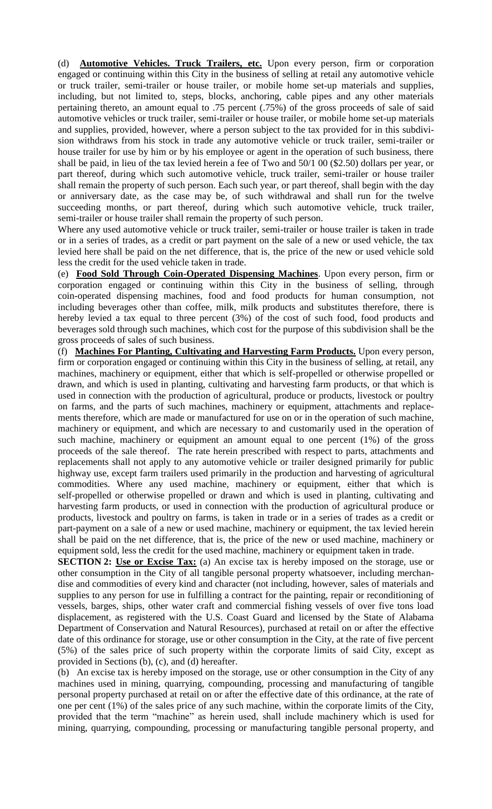(d) **Automotive Vehicles. Truck Trailers, etc.** Upon every person, firm or corporation engaged or continuing within this City in the business of selling at retail any automotive vehicle or truck trailer, semi-trailer or house trailer, or mobile home set-up materials and supplies, including, but not limited to, steps, blocks, anchoring, cable pipes and any other materials pertaining thereto, an amount equal to .75 percent (.75%) of the gross proceeds of sale of said automotive vehicles or truck trailer, semi-trailer or house trailer, or mobile home set-up materials and supplies, provided, however, where a person subject to the tax provided for in this subdivision withdraws from his stock in trade any automotive vehicle or truck trailer, semi-trailer or house trailer for use by him or by his employee or agent in the operation of such business, there shall be paid, in lieu of the tax levied herein a fee of Two and 50/1 00 (\$2.50) dollars per year, or part thereof, during which such automotive vehicle, truck trailer, semi-trailer or house trailer shall remain the property of such person. Each such year, or part thereof, shall begin with the day or anniversary date, as the case may be, of such withdrawal and shall run for the twelve succeeding months, or part thereof, during which such automotive vehicle, truck trailer, semi-trailer or house trailer shall remain the property of such person.

Where any used automotive vehicle or truck trailer, semi-trailer or house trailer is taken in trade or in a series of trades, as a credit or part payment on the sale of a new or used vehicle, the tax levied here shall be paid on the net difference, that is, the price of the new or used vehicle sold less the credit for the used vehicle taken in trade.

(e) **Food Sold Through Coin-Operated Dispensing Machines**. Upon every person, firm or corporation engaged or continuing within this City in the business of selling, through coin-operated dispensing machines, food and food products for human consumption, not including beverages other than coffee, milk, milk products and substitutes therefore, there is hereby levied a tax equal to three percent (3%) of the cost of such food, food products and beverages sold through such machines, which cost for the purpose of this subdivision shall be the gross proceeds of sales of such business.

(f) **Machines For Planting, Cultivating and Harvesting Farm Products.** Upon every person, firm or corporation engaged or continuing within this City in the business of selling, at retail, any machines, machinery or equipment, either that which is self-propelled or otherwise propelled or drawn, and which is used in planting, cultivating and harvesting farm products, or that which is used in connection with the production of agricultural, produce or products, livestock or poultry on farms, and the parts of such machines, machinery or equipment, attachments and replacements therefore, which are made or manufactured for use on or in the operation of such machine, machinery or equipment, and which are necessary to and customarily used in the operation of such machine, machinery or equipment an amount equal to one percent (1%) of the gross proceeds of the sale thereof. The rate herein prescribed with respect to parts, attachments and replacements shall not apply to any automotive vehicle or trailer designed primarily for public highway use, except farm trailers used primarily in the production and harvesting of agricultural commodities. Where any used machine, machinery or equipment, either that which is self-propelled or otherwise propelled or drawn and which is used in planting, cultivating and harvesting farm products, or used in connection with the production of agricultural produce or products, livestock and poultry on farms, is taken in trade or in a series of trades as a credit or part-payment on a sale of a new or used machine, machinery or equipment, the tax levied herein shall be paid on the net difference, that is, the price of the new or used machine, machinery or equipment sold, less the credit for the used machine, machinery or equipment taken in trade.

**SECTION 2: Use or Excise Tax:** (a) An excise tax is hereby imposed on the storage, use or other consumption in the City of all tangible personal property whatsoever, including merchandise and commodities of every kind and character (not including, however, sales of materials and supplies to any person for use in fulfilling a contract for the painting, repair or reconditioning of vessels, barges, ships, other water craft and commercial fishing vessels of over five tons load displacement, as registered with the U.S. Coast Guard and licensed by the State of Alabama Department of Conservation and Natural Resources), purchased at retail on or after the effective date of this ordinance for storage, use or other consumption in the City, at the rate of five percent (5%) of the sales price of such property within the corporate limits of said City, except as provided in Sections (b), (c), and (d) hereafter.

(b) An excise tax is hereby imposed on the storage, use or other consumption in the City of any machines used in mining, quarrying, compounding, processing and manufacturing of tangible personal property purchased at retail on or after the effective date of this ordinance, at the rate of one per cent (1%) of the sales price of any such machine, within the corporate limits of the City, provided that the term "machine" as herein used, shall include machinery which is used for mining, quarrying, compounding, processing or manufacturing tangible personal property, and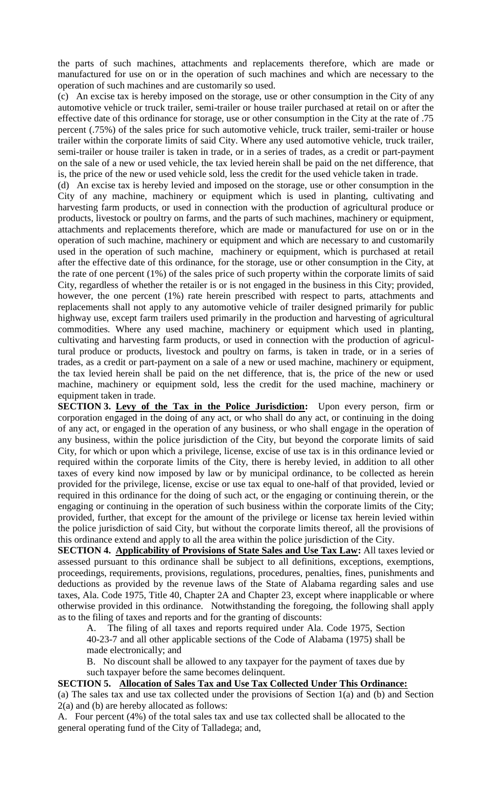the parts of such machines, attachments and replacements therefore, which are made or manufactured for use on or in the operation of such machines and which are necessary to the operation of such machines and are customarily so used.

(c) An excise tax is hereby imposed on the storage, use or other consumption in the City of any automotive vehicle or truck trailer, semi-trailer or house trailer purchased at retail on or after the effective date of this ordinance for storage, use or other consumption in the City at the rate of .75 percent (.75%) of the sales price for such automotive vehicle, truck trailer, semi-trailer or house trailer within the corporate limits of said City. Where any used automotive vehicle, truck trailer, semi-trailer or house trailer is taken in trade, or in a series of trades, as a credit or part-payment on the sale of a new or used vehicle, the tax levied herein shall be paid on the net difference, that is, the price of the new or used vehicle sold, less the credit for the used vehicle taken in trade.

(d) An excise tax is hereby levied and imposed on the storage, use or other consumption in the City of any machine, machinery or equipment which is used in planting, cultivating and harvesting farm products, or used in connection with the production of agricultural produce or products, livestock or poultry on farms, and the parts of such machines, machinery or equipment, attachments and replacements therefore, which are made or manufactured for use on or in the operation of such machine, machinery or equipment and which are necessary to and customarily used in the operation of such machine, machinery or equipment, which is purchased at retail after the effective date of this ordinance, for the storage, use or other consumption in the City, at the rate of one percent (1%) of the sales price of such property within the corporate limits of said City, regardless of whether the retailer is or is not engaged in the business in this City; provided, however, the one percent (1%) rate herein prescribed with respect to parts, attachments and replacements shall not apply to any automotive vehicle of trailer designed primarily for public highway use, except farm trailers used primarily in the production and harvesting of agricultural commodities. Where any used machine, machinery or equipment which used in planting, cultivating and harvesting farm products, or used in connection with the production of agricultural produce or products, livestock and poultry on farms, is taken in trade, or in a series of trades, as a credit or part-payment on a sale of a new or used machine, machinery or equipment, the tax levied herein shall be paid on the net difference, that is, the price of the new or used machine, machinery or equipment sold, less the credit for the used machine, machinery or equipment taken in trade.

**SECTION 3. Levy of the Tax in the Police Jurisdiction:** Upon every person, firm or corporation engaged in the doing of any act, or who shall do any act, or continuing in the doing of any act, or engaged in the operation of any business, or who shall engage in the operation of any business, within the police jurisdiction of the City, but beyond the corporate limits of said City, for which or upon which a privilege, license, excise of use tax is in this ordinance levied or required within the corporate limits of the City, there is hereby levied, in addition to all other taxes of every kind now imposed by law or by municipal ordinance, to be collected as herein provided for the privilege, license, excise or use tax equal to one-half of that provided, levied or required in this ordinance for the doing of such act, or the engaging or continuing therein, or the engaging or continuing in the operation of such business within the corporate limits of the City; provided, further, that except for the amount of the privilege or license tax herein levied within the police jurisdiction of said City, but without the corporate limits thereof, all the provisions of this ordinance extend and apply to all the area within the police jurisdiction of the City.

**SECTION 4. Applicability of Provisions of State Sales and Use Tax Law:** All taxes levied or assessed pursuant to this ordinance shall be subject to all definitions, exceptions, exemptions, proceedings, requirements, provisions, regulations, procedures, penalties, fines, punishments and deductions as provided by the revenue laws of the State of Alabama regarding sales and use taxes, Ala. Code 1975, Title 40, Chapter 2A and Chapter 23, except where inapplicable or where otherwise provided in this ordinance. Notwithstanding the foregoing, the following shall apply as to the filing of taxes and reports and for the granting of discounts:

A. The filing of all taxes and reports required under Ala. Code 1975, Section 40-23-7 and all other applicable sections of the Code of Alabama (1975) shall be made electronically; and

B. No discount shall be allowed to any taxpayer for the payment of taxes due by such taxpayer before the same becomes delinquent.

## **SECTION 5. Allocation of Sales Tax and Use Tax Collected Under This Ordinance:**

(a) The sales tax and use tax collected under the provisions of Section 1(a) and (b) and Section 2(a) and (b) are hereby allocated as follows:

A. Four percent (4%) of the total sales tax and use tax collected shall be allocated to the general operating fund of the City of Talladega; and,